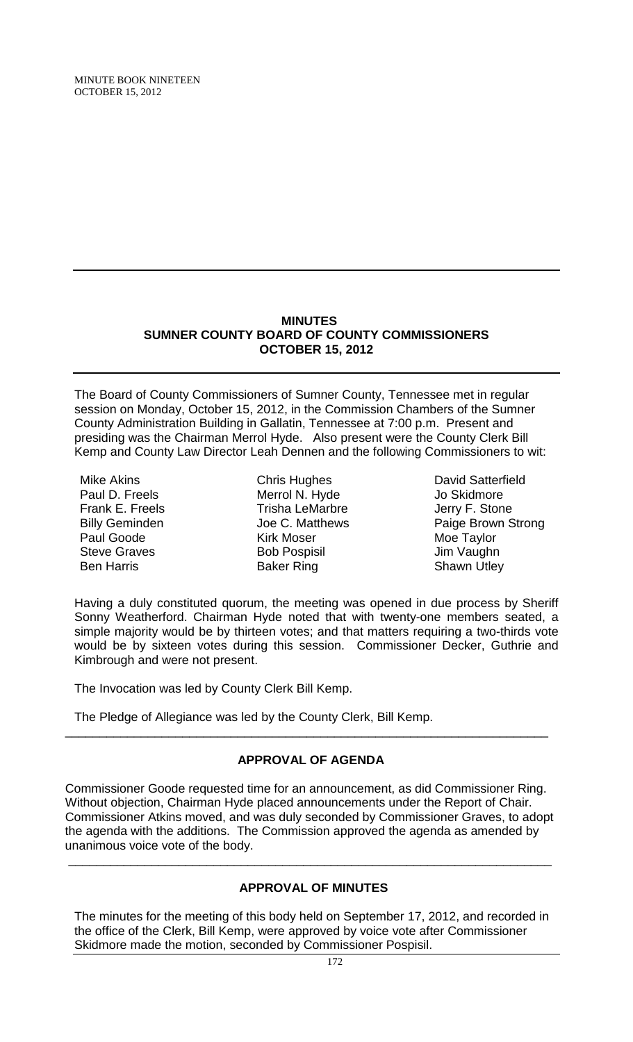MINUTE BOOK NINETEEN OCTOBER 15, 2012

### **MINUTES SUMNER COUNTY BOARD OF COUNTY COMMISSIONERS OCTOBER 15, 2012**

The Board of County Commissioners of Sumner County, Tennessee met in regular session on Monday, October 15, 2012, in the Commission Chambers of the Sumner County Administration Building in Gallatin, Tennessee at 7:00 p.m. Present and presiding was the Chairman Merrol Hyde. Also present were the County Clerk Bill Kemp and County Law Director Leah Dennen and the following Commissioners to wit:

Mike Akins Paul D. Freels Frank E. Freels Billy Geminden Paul Goode Steve Graves Ben Harris

Chris Hughes Merrol N. Hyde Trisha LeMarbre Joe C. Matthews Kirk Moser Bob Pospisil Baker Ring

David Satterfield Jo Skidmore Jerry F. Stone Paige Brown Strong Moe Taylor Jim Vaughn Shawn Utley

Having a duly constituted quorum, the meeting was opened in due process by Sheriff Sonny Weatherford. Chairman Hyde noted that with twenty-one members seated, a simple majority would be by thirteen votes; and that matters requiring a two-thirds vote would be by sixteen votes during this session. Commissioner Decker, Guthrie and Kimbrough and were not present.

The Invocation was led by County Clerk Bill Kemp.

The Pledge of Allegiance was led by the County Clerk, Bill Kemp.

### **APPROVAL OF AGENDA**

\_\_\_\_\_\_\_\_\_\_\_\_\_\_\_\_\_\_\_\_\_\_\_\_\_\_\_\_\_\_\_\_\_\_\_\_\_\_\_\_\_\_\_\_\_\_\_\_\_\_\_\_\_\_\_\_\_\_\_\_\_\_\_\_\_\_\_\_\_\_

Commissioner Goode requested time for an announcement, as did Commissioner Ring. Without objection, Chairman Hyde placed announcements under the Report of Chair. Commissioner Atkins moved, and was duly seconded by Commissioner Graves, to adopt the agenda with the additions. The Commission approved the agenda as amended by unanimous voice vote of the body.

\_\_\_\_\_\_\_\_\_\_\_\_\_\_\_\_\_\_\_\_\_\_\_\_\_\_\_\_\_\_\_\_\_\_\_\_\_\_\_\_\_\_\_\_\_\_\_\_\_\_\_\_\_\_\_\_\_\_\_\_\_\_\_\_\_\_\_\_\_\_

# **APPROVAL OF MINUTES**

The minutes for the meeting of this body held on September 17, 2012, and recorded in the office of the Clerk, Bill Kemp, were approved by voice vote after Commissioner Skidmore made the motion, seconded by Commissioner Pospisil.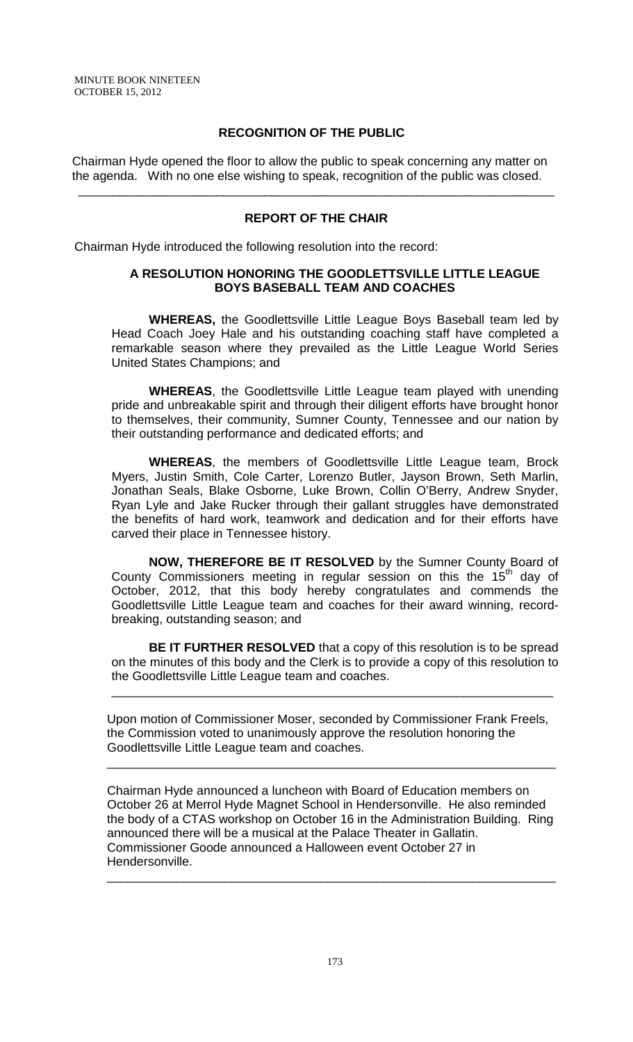### **RECOGNITION OF THE PUBLIC**

 Chairman Hyde opened the floor to allow the public to speak concerning any matter on the agenda. With no one else wishing to speak, recognition of the public was closed.

### **REPORT OF THE CHAIR**

\_\_\_\_\_\_\_\_\_\_\_\_\_\_\_\_\_\_\_\_\_\_\_\_\_\_\_\_\_\_\_\_\_\_\_\_\_\_\_\_\_\_\_\_\_\_\_\_\_\_\_\_\_\_\_\_\_\_\_\_\_\_\_\_\_\_\_\_\_

Chairman Hyde introduced the following resolution into the record:

### **A RESOLUTION HONORING THE GOODLETTSVILLE LITTLE LEAGUE BOYS BASEBALL TEAM AND COACHES**

**WHEREAS,** the Goodlettsville Little League Boys Baseball team led by Head Coach Joey Hale and his outstanding coaching staff have completed a remarkable season where they prevailed as the Little League World Series United States Champions; and

**WHEREAS**, the Goodlettsville Little League team played with unending pride and unbreakable spirit and through their diligent efforts have brought honor to themselves, their community, Sumner County, Tennessee and our nation by their outstanding performance and dedicated efforts; and

**WHEREAS**, the members of Goodlettsville Little League team, Brock Myers, Justin Smith, Cole Carter, Lorenzo Butler, Jayson Brown, Seth Marlin, Jonathan Seals, Blake Osborne, Luke Brown, Collin O'Berry, Andrew Snyder, Ryan Lyle and Jake Rucker through their gallant struggles have demonstrated the benefits of hard work, teamwork and dedication and for their efforts have carved their place in Tennessee history.

**NOW, THEREFORE BE IT RESOLVED** by the Sumner County Board of County Commissioners meeting in regular session on this the  $15<sup>th</sup>$  day of October, 2012, that this body hereby congratulates and commends the Goodlettsville Little League team and coaches for their award winning, recordbreaking, outstanding season; and

**BE IT FURTHER RESOLVED** that a copy of this resolution is to be spread on the minutes of this body and the Clerk is to provide a copy of this resolution to the Goodlettsville Little League team and coaches.

\_\_\_\_\_\_\_\_\_\_\_\_\_\_\_\_\_\_\_\_\_\_\_\_\_\_\_\_\_\_\_\_\_\_\_\_\_\_\_\_\_\_\_\_\_\_\_\_\_\_\_\_\_\_\_\_\_\_\_\_\_\_\_\_

Upon motion of Commissioner Moser, seconded by Commissioner Frank Freels, the Commission voted to unanimously approve the resolution honoring the Goodlettsville Little League team and coaches.

\_\_\_\_\_\_\_\_\_\_\_\_\_\_\_\_\_\_\_\_\_\_\_\_\_\_\_\_\_\_\_\_\_\_\_\_\_\_\_\_\_\_\_\_\_\_\_\_\_\_\_\_\_\_\_\_\_\_\_\_\_\_\_\_\_

Chairman Hyde announced a luncheon with Board of Education members on October 26 at Merrol Hyde Magnet School in Hendersonville. He also reminded the body of a CTAS workshop on October 16 in the Administration Building. Ring announced there will be a musical at the Palace Theater in Gallatin. Commissioner Goode announced a Halloween event October 27 in Hendersonville.

\_\_\_\_\_\_\_\_\_\_\_\_\_\_\_\_\_\_\_\_\_\_\_\_\_\_\_\_\_\_\_\_\_\_\_\_\_\_\_\_\_\_\_\_\_\_\_\_\_\_\_\_\_\_\_\_\_\_\_\_\_\_\_\_\_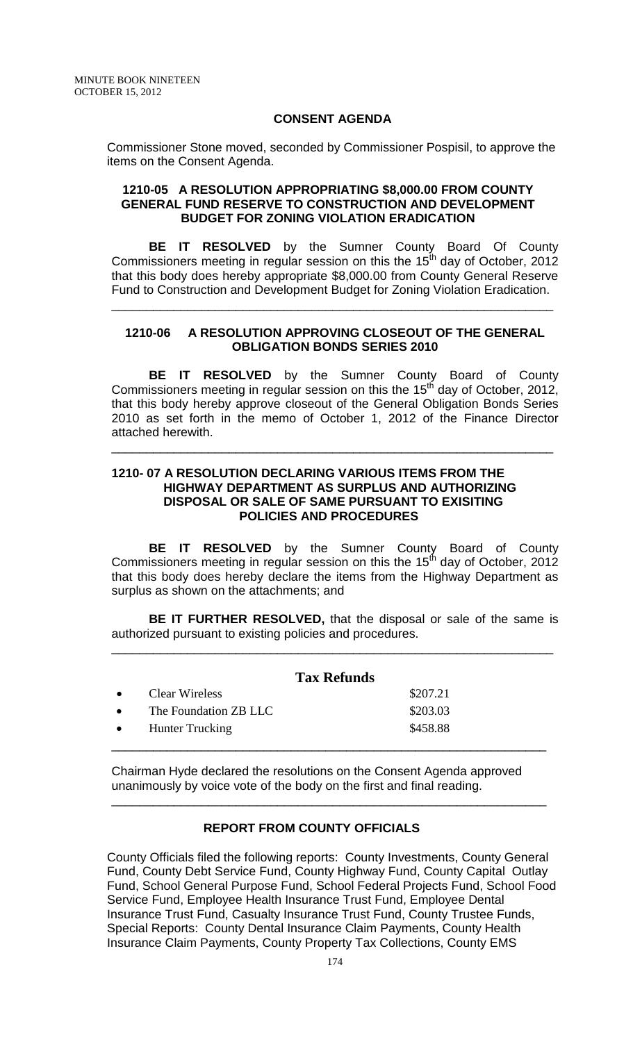### **CONSENT AGENDA**

Commissioner Stone moved, seconded by Commissioner Pospisil, to approve the items on the Consent Agenda.

### **1210-05 A RESOLUTION APPROPRIATING \$8,000.00 FROM COUNTY GENERAL FUND RESERVE TO CONSTRUCTION AND DEVELOPMENT BUDGET FOR ZONING VIOLATION ERADICATION**

**BE IT RESOLVED** by the Sumner County Board Of County Commissioners meeting in regular session on this the 15<sup>th</sup> day of October, 2012 that this body does hereby appropriate \$8,000.00 from County General Reserve Fund to Construction and Development Budget for Zoning Violation Eradication.

## **1210-06 A RESOLUTION APPROVING CLOSEOUT OF THE GENERAL OBLIGATION BONDS SERIES 2010**

\_\_\_\_\_\_\_\_\_\_\_\_\_\_\_\_\_\_\_\_\_\_\_\_\_\_\_\_\_\_\_\_\_\_\_\_\_\_\_\_\_\_\_\_\_\_\_\_\_\_\_\_\_\_\_\_\_\_\_\_\_\_\_\_

**BE IT RESOLVED** by the Sumner County Board of County Commissioners meeting in regular session on this the  $15<sup>th</sup>$  day of October, 2012, that this body hereby approve closeout of the General Obligation Bonds Series 2010 as set forth in the memo of October 1, 2012 of the Finance Director attached herewith.

\_\_\_\_\_\_\_\_\_\_\_\_\_\_\_\_\_\_\_\_\_\_\_\_\_\_\_\_\_\_\_\_\_\_\_\_\_\_\_\_\_\_\_\_\_\_\_\_\_\_\_\_\_\_\_\_\_\_\_\_\_\_\_\_

### **1210- 07 A RESOLUTION DECLARING VARIOUS ITEMS FROM THE HIGHWAY DEPARTMENT AS SURPLUS AND AUTHORIZING DISPOSAL OR SALE OF SAME PURSUANT TO EXISITING POLICIES AND PROCEDURES**

**BE IT RESOLVED** by the Sumner County Board of County Commissioners meeting in regular session on this the 15<sup>th</sup> day of October, 2012 that this body does hereby declare the items from the Highway Department as surplus as shown on the attachments; and

**BE IT FURTHER RESOLVED,** that the disposal or sale of the same is authorized pursuant to existing policies and procedures.

\_\_\_\_\_\_\_\_\_\_\_\_\_\_\_\_\_\_\_\_\_\_\_\_\_\_\_\_\_\_\_\_\_\_\_\_\_\_\_\_\_\_\_\_\_\_\_\_\_\_\_\_\_\_\_\_\_\_\_\_\_\_\_\_

|                        | <b>Tax Refunds</b> |
|------------------------|--------------------|
| Clear Wireless         | \$207.21           |
| The Foundation ZB LLC  | \$203.03           |
| <b>Hunter Trucking</b> | \$458.88           |
|                        |                    |

Chairman Hyde declared the resolutions on the Consent Agenda approved unanimously by voice vote of the body on the first and final reading.

\_\_\_\_\_\_\_\_\_\_\_\_\_\_\_\_\_\_\_\_\_\_\_\_\_\_\_\_\_\_\_\_\_\_\_\_\_\_\_\_\_\_\_\_\_\_\_\_\_\_\_\_\_\_\_\_\_\_\_\_\_\_\_

# **REPORT FROM COUNTY OFFICIALS**

County Officials filed the following reports: County Investments, County General Fund, County Debt Service Fund, County Highway Fund, County Capital Outlay Fund, School General Purpose Fund, School Federal Projects Fund, School Food Service Fund, Employee Health Insurance Trust Fund, Employee Dental Insurance Trust Fund, Casualty Insurance Trust Fund, County Trustee Funds, Special Reports: County Dental Insurance Claim Payments, County Health Insurance Claim Payments, County Property Tax Collections, County EMS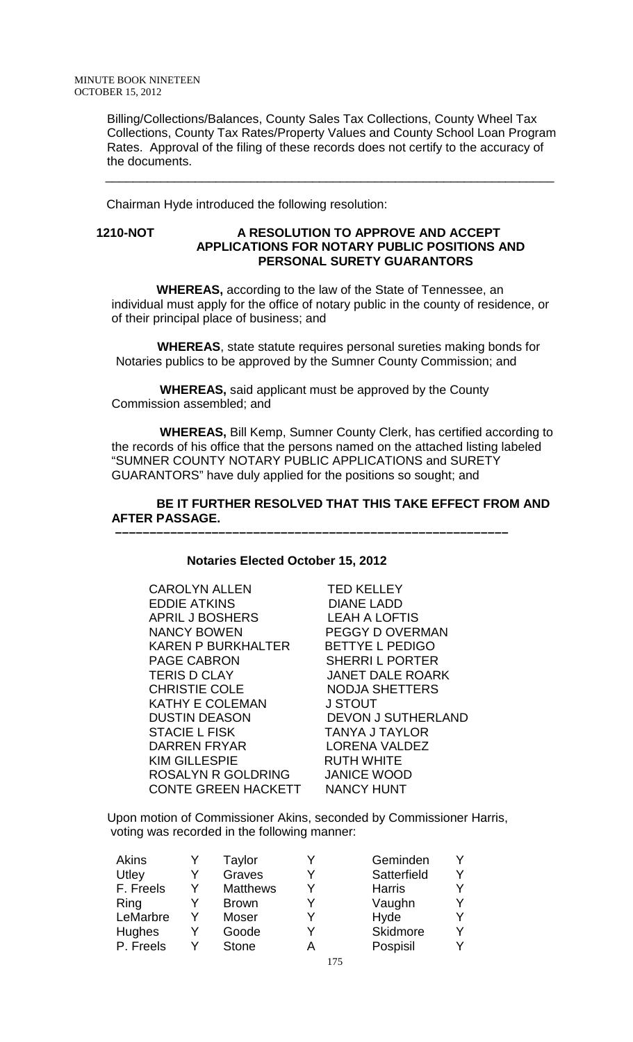Billing/Collections/Balances, County Sales Tax Collections, County Wheel Tax Collections, County Tax Rates/Property Values and County School Loan Program Rates. Approval of the filing of these records does not certify to the accuracy of the documents.

Chairman Hyde introduced the following resolution:

### **1210-NOT A RESOLUTION TO APPROVE AND ACCEPT APPLICATIONS FOR NOTARY PUBLIC POSITIONS AND PERSONAL SURETY GUARANTORS**

 $\overline{\phantom{a}}$  , and the contract of the contract of the contract of the contract of the contract of the contract of the contract of the contract of the contract of the contract of the contract of the contract of the contrac

 **WHEREAS,** according to the law of the State of Tennessee, an individual must apply for the office of notary public in the county of residence, or of their principal place of business; and

 **WHEREAS**, state statute requires personal sureties making bonds for Notaries publics to be approved by the Sumner County Commission; and

 **WHEREAS,** said applicant must be approved by the County Commission assembled; and

 **WHEREAS,** Bill Kemp, Sumner County Clerk, has certified according to the records of his office that the persons named on the attached listing labeled "SUMNER COUNTY NOTARY PUBLIC APPLICATIONS and SURETY GUARANTORS" have duly applied for the positions so sought; and

### **BE IT FURTHER RESOLVED THAT THIS TAKE EFFECT FROM AND AFTER PASSAGE.**

### **Notaries Elected October 15, 2012**

 **–––––––––––––––––––––––––––––––––––––––––––––––––––––––––**

| <b>TED KELLEY</b>         |
|---------------------------|
| <b>DIANE LADD</b>         |
| <b>LEAH A LOFTIS</b>      |
| <b>PEGGY D OVERMAN</b>    |
| <b>BETTYE L PEDIGO</b>    |
| <b>SHERRIL PORTER</b>     |
| <b>JANET DALE ROARK</b>   |
| <b>NODJA SHETTERS</b>     |
| J STOUT                   |
| <b>DEVON J SUTHERLAND</b> |
| <b>TANYA J TAYLOR</b>     |
| <b>LORENA VALDEZ</b>      |
| <b>RUTH WHITE</b>         |
| <b>JANICE WOOD</b>        |
| <b>NANCY HUNT</b>         |
|                           |

Upon motion of Commissioner Akins, seconded by Commissioner Harris, voting was recorded in the following manner:

| Akins         |   | Taylor          | V | Geminden      | Y |
|---------------|---|-----------------|---|---------------|---|
| Utley         |   | Graves          | v | Satterfield   | Y |
| F. Freels     | Υ | <b>Matthews</b> | V | <b>Harris</b> | Y |
| Ring          |   | <b>Brown</b>    | V | Vaughn        | Y |
| LeMarbre      | v | Moser           | V | Hyde          | Y |
| <b>Hughes</b> | v | Goode           | V | Skidmore      | Y |
| P. Freels     |   | <b>Stone</b>    | А | Pospisil      | Y |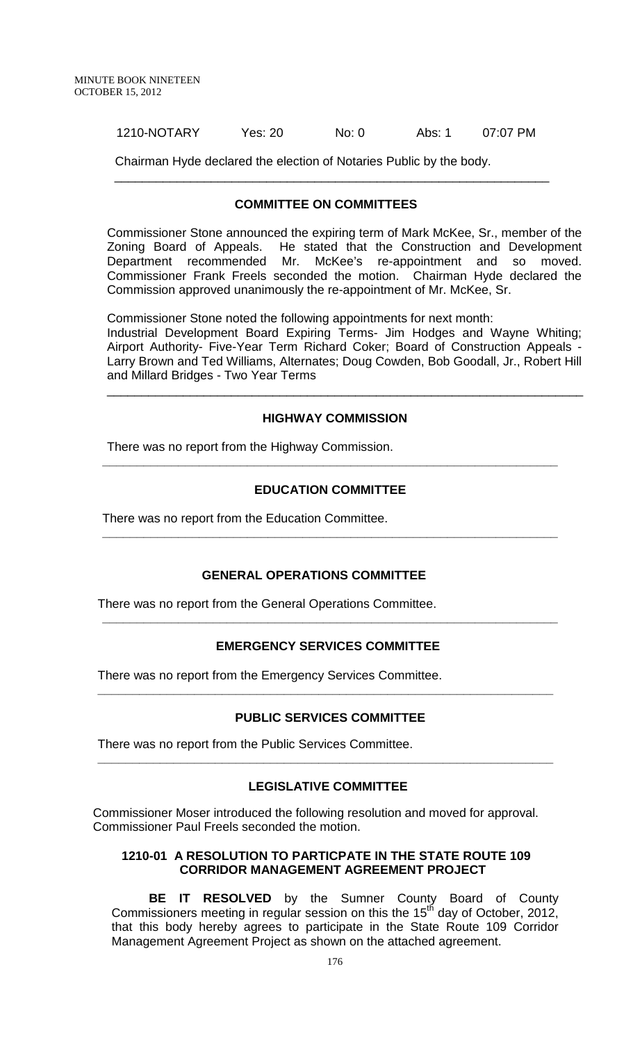1210-NOTARY Yes: 20 No: 0 Abs: 1 07:07 PM

Chairman Hyde declared the election of Notaries Public by the body. \_\_\_\_\_\_\_\_\_\_\_\_\_\_\_\_\_\_\_\_\_\_\_\_\_\_\_\_\_\_\_\_\_\_\_\_\_\_\_\_\_\_\_\_\_\_\_\_\_\_\_\_\_\_\_\_\_\_\_\_\_\_\_

### **COMMITTEE ON COMMITTEES**

Commissioner Stone announced the expiring term of Mark McKee, Sr., member of the Zoning Board of Appeals. He stated that the Construction and Development Department recommended Mr. McKee's re-appointment and so moved. Commissioner Frank Freels seconded the motion. Chairman Hyde declared the Commission approved unanimously the re-appointment of Mr. McKee, Sr.

Commissioner Stone noted the following appointments for next month:

Industrial Development Board Expiring Terms- Jim Hodges and Wayne Whiting; Airport Authority- Five-Year Term Richard Coker; Board of Construction Appeals - Larry Brown and Ted Williams, Alternates; Doug Cowden, Bob Goodall, Jr., Robert Hill and Millard Bridges - Two Year Terms

\_\_\_\_\_\_\_\_\_\_\_\_\_\_\_\_\_\_\_\_\_\_\_\_\_\_\_\_\_\_\_\_\_\_\_\_\_\_\_\_\_\_\_\_\_\_\_\_\_\_\_\_\_\_\_\_\_\_\_\_\_\_\_\_\_\_\_\_\_

#### **HIGHWAY COMMISSION**

There was no report from the Highway Commission.

### **EDUCATION COMMITTEE**

**\_\_\_\_\_\_\_\_\_\_\_\_\_\_\_\_\_\_\_\_\_\_\_\_\_\_\_\_\_\_\_\_\_\_\_\_\_\_\_\_\_\_\_\_\_\_\_\_\_\_\_\_\_\_\_\_\_\_\_\_\_\_\_\_\_\_**

**\_\_\_\_\_\_\_\_\_\_\_\_\_\_\_\_\_\_\_\_\_\_\_\_\_\_\_\_\_\_\_\_\_\_\_\_\_\_\_\_\_\_\_\_\_\_\_\_\_\_\_\_\_\_\_\_\_\_\_\_\_\_\_\_\_\_**

There was no report from the Education Committee.

### **GENERAL OPERATIONS COMMITTEE**

There was no report from the General Operations Committee.

### **EMERGENCY SERVICES COMMITTEE**

**\_\_\_\_\_\_\_\_\_\_\_\_\_\_\_\_\_\_\_\_\_\_\_\_\_\_\_\_\_\_\_\_\_\_\_\_\_\_\_\_\_\_\_\_\_\_\_\_\_\_\_\_\_\_\_\_\_\_\_\_\_\_\_\_\_\_**

There was no report from the Emergency Services Committee.

### **PUBLIC SERVICES COMMITTEE**

**\_\_\_\_\_\_\_\_\_\_\_\_\_\_\_\_\_\_\_\_\_\_\_\_\_\_\_\_\_\_\_\_\_\_\_\_\_\_\_\_\_\_\_\_\_\_\_\_\_\_\_\_\_\_\_\_\_\_\_\_\_\_\_\_\_\_**

There was no report from the Public Services Committee.

### **LEGISLATIVE COMMITTEE**

**\_\_\_\_\_\_\_\_\_\_\_\_\_\_\_\_\_\_\_\_\_\_\_\_\_\_\_\_\_\_\_\_\_\_\_\_\_\_\_\_\_\_\_\_\_\_\_\_\_\_\_\_\_\_\_\_\_\_\_\_\_\_\_\_\_\_**

 Commissioner Moser introduced the following resolution and moved for approval. Commissioner Paul Freels seconded the motion.

### **1210-01 A RESOLUTION TO PARTICPATE IN THE STATE ROUTE 109 CORRIDOR MANAGEMENT AGREEMENT PROJECT**

**BE IT RESOLVED** by the Sumner County Board of County Commissioners meeting in regular session on this the  $15<sup>th</sup>$  day of October, 2012, that this body hereby agrees to participate in the State Route 109 Corridor Management Agreement Project as shown on the attached agreement.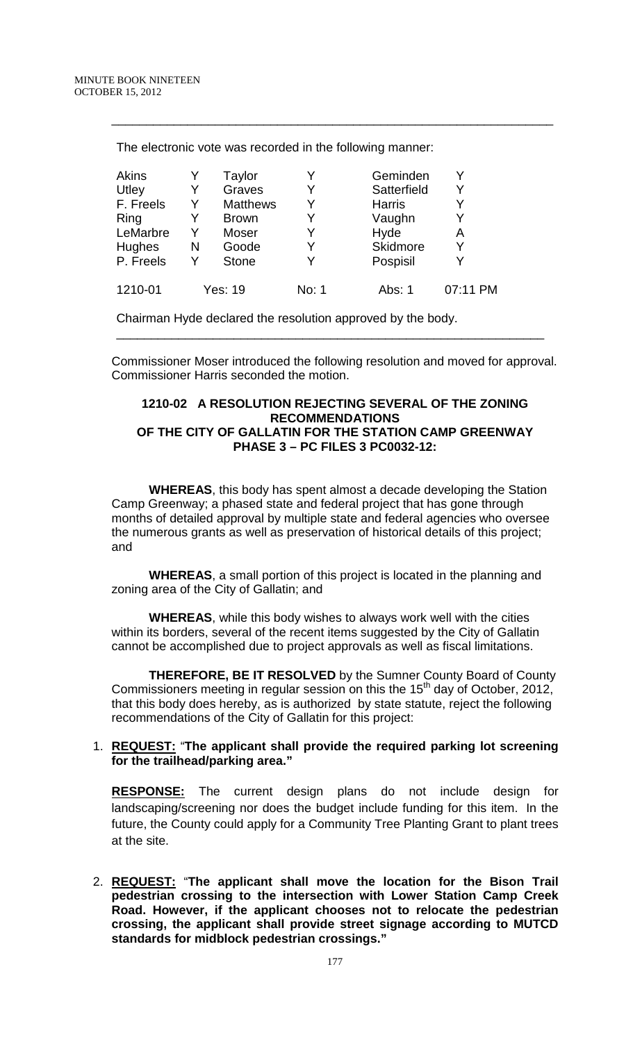| Akins         |   | Taylor          | Y     | Geminden        | Y        |
|---------------|---|-----------------|-------|-----------------|----------|
| Utley         | Y | Graves          | Y     | Satterfield     | Y        |
| F. Freels     | Y | <b>Matthews</b> | Y     | <b>Harris</b>   | Y        |
| Ring          | Y | <b>Brown</b>    | Y     | Vaughn          | Y        |
| LeMarbre      | Y | Moser           | Y     | Hyde            | Α        |
| <b>Hughes</b> | N | Goode           | Y     | <b>Skidmore</b> | Y        |
| P. Freels     |   | <b>Stone</b>    | Y     | Pospisil        |          |
| 1210-01       |   | Yes: 19         | No: 1 | Abs: 1          | 07:11 PM |

\_\_\_\_\_\_\_\_\_\_\_\_\_\_\_\_\_\_\_\_\_\_\_\_\_\_\_\_\_\_\_\_\_\_\_\_\_\_\_\_\_\_\_\_\_\_\_\_\_\_\_\_\_\_\_\_\_\_\_\_\_\_\_\_

The electronic vote was recorded in the following manner:

Chairman Hyde declared the resolution approved by the body.

 Commissioner Moser introduced the following resolution and moved for approval. Commissioner Harris seconded the motion.

\_\_\_\_\_\_\_\_\_\_\_\_\_\_\_\_\_\_\_\_\_\_\_\_\_\_\_\_\_\_\_\_\_\_\_\_\_\_\_\_\_\_\_\_\_\_\_\_\_\_\_\_\_\_\_\_\_\_\_\_\_\_

### **1210-02 A RESOLUTION REJECTING SEVERAL OF THE ZONING RECOMMENDATIONS OF THE CITY OF GALLATIN FOR THE STATION CAMP GREENWAY PHASE 3 – PC FILES 3 PC0032-12:**

**WHEREAS**, this body has spent almost a decade developing the Station Camp Greenway; a phased state and federal project that has gone through months of detailed approval by multiple state and federal agencies who oversee the numerous grants as well as preservation of historical details of this project; and

**WHEREAS**, a small portion of this project is located in the planning and zoning area of the City of Gallatin; and

**WHEREAS**, while this body wishes to always work well with the cities within its borders, several of the recent items suggested by the City of Gallatin cannot be accomplished due to project approvals as well as fiscal limitations.

**THEREFORE, BE IT RESOLVED** by the Sumner County Board of County Commissioners meeting in regular session on this the  $15<sup>th</sup>$  day of October, 2012, that this body does hereby, as is authorized by state statute, reject the following recommendations of the City of Gallatin for this project:

### 1. **REQUEST:** "**The applicant shall provide the required parking lot screening for the trailhead/parking area."**

**RESPONSE:** The current design plans do not include design for landscaping/screening nor does the budget include funding for this item. In the future, the County could apply for a Community Tree Planting Grant to plant trees at the site.

2. **REQUEST:** "**The applicant shall move the location for the Bison Trail pedestrian crossing to the intersection with Lower Station Camp Creek Road. However, if the applicant chooses not to relocate the pedestrian crossing, the applicant shall provide street signage according to MUTCD standards for midblock pedestrian crossings."**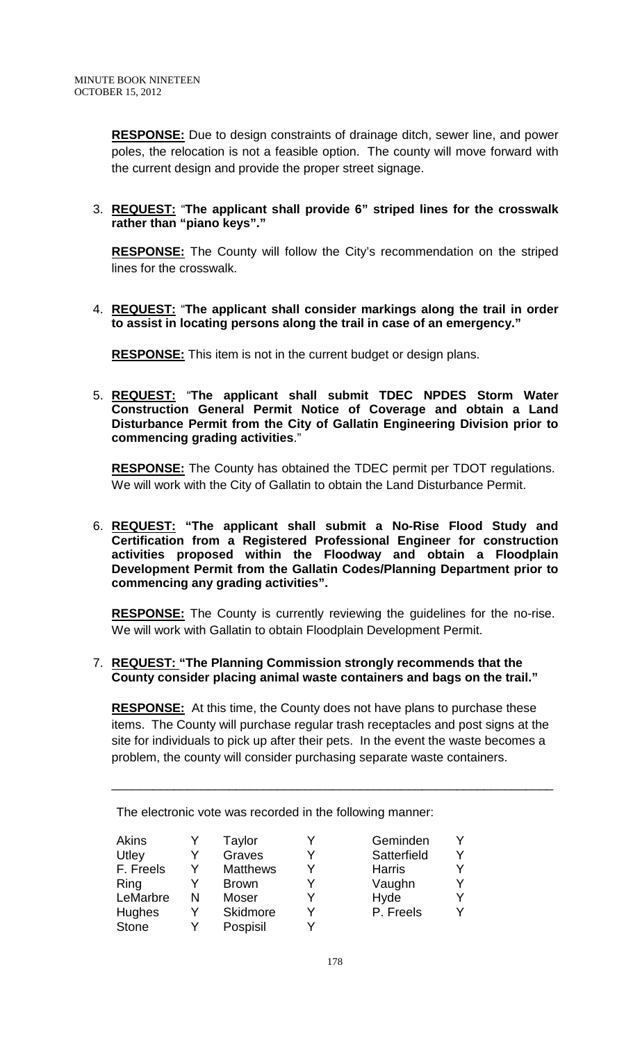**RESPONSE:** Due to design constraints of drainage ditch, sewer line, and power poles, the relocation is not a feasible option. The county will move forward with the current design and provide the proper street signage.

## 3. **REQUEST:** "**The applicant shall provide 6" striped lines for the crosswalk rather than "piano keys"."**

**RESPONSE:** The County will follow the City's recommendation on the striped lines for the crosswalk.

4. **REQUEST:** "**The applicant shall consider markings along the trail in order to assist in locating persons along the trail in case of an emergency."**

**RESPONSE:** This item is not in the current budget or design plans.

5. **REQUEST:** "**The applicant shall submit TDEC NPDES Storm Water Construction General Permit Notice of Coverage and obtain a Land Disturbance Permit from the City of Gallatin Engineering Division prior to commencing grading activities**."

**RESPONSE:** The County has obtained the TDEC permit per TDOT regulations. We will work with the City of Gallatin to obtain the Land Disturbance Permit.

6. **REQUEST: "The applicant shall submit a No-Rise Flood Study and Certification from a Registered Professional Engineer for construction activities proposed within the Floodway and obtain a Floodplain Development Permit from the Gallatin Codes/Planning Department prior to commencing any grading activities".**

**RESPONSE:** The County is currently reviewing the guidelines for the no-rise. We will work with Gallatin to obtain Floodplain Development Permit.

### 7. **REQUEST: "The Planning Commission strongly recommends that the County consider placing animal waste containers and bags on the trail."**

**RESPONSE:** At this time, the County does not have plans to purchase these items. The County will purchase regular trash receptacles and post signs at the site for individuals to pick up after their pets. In the event the waste becomes a problem, the county will consider purchasing separate waste containers.

\_\_\_\_\_\_\_\_\_\_\_\_\_\_\_\_\_\_\_\_\_\_\_\_\_\_\_\_\_\_\_\_\_\_\_\_\_\_\_\_\_\_\_\_\_\_\_\_\_\_\_\_\_\_\_\_\_\_\_\_\_\_\_\_

| Akins         |   | Taylor          | v | Geminden      | Y |
|---------------|---|-----------------|---|---------------|---|
| Utley         |   | Graves          | V | Satterfield   | Y |
| F. Freels     | Y | <b>Matthews</b> | v | <b>Harris</b> | Y |
| Ring          |   | <b>Brown</b>    | V | Vaughn        | Y |
| LeMarbre      | N | Moser           | V | Hyde          | Υ |
| <b>Hughes</b> | Y | Skidmore        | V | P. Freels     | Y |
| <b>Stone</b>  | Y | Pospisil        | v |               |   |

The electronic vote was recorded in the following manner: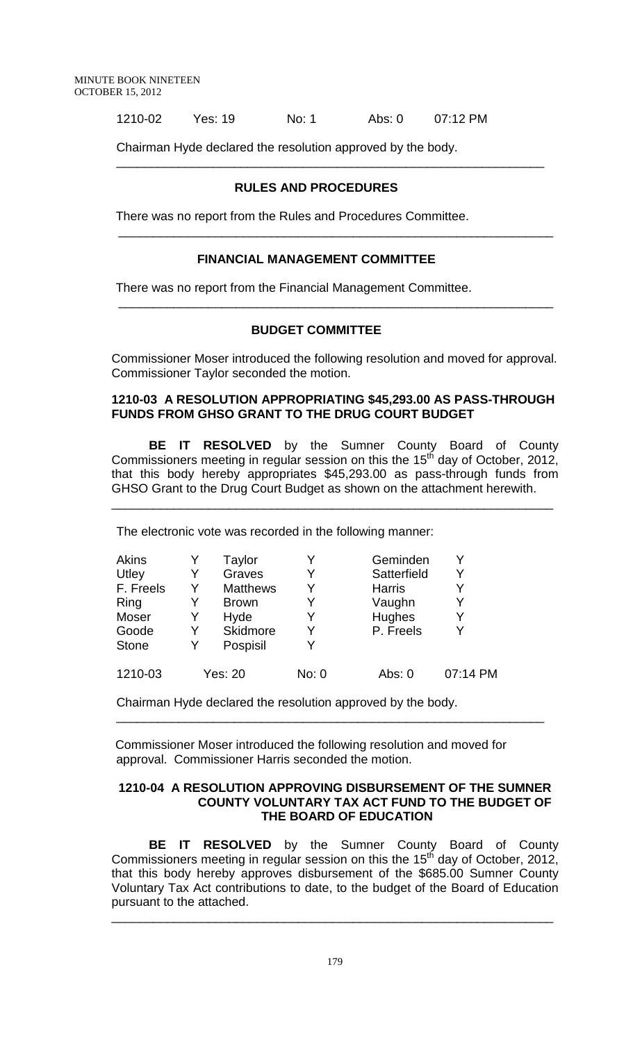1210-02 Yes: 19 No: 1 Abs: 0 07:12 PM

Chairman Hyde declared the resolution approved by the body.

# **RULES AND PROCEDURES**

\_\_\_\_\_\_\_\_\_\_\_\_\_\_\_\_\_\_\_\_\_\_\_\_\_\_\_\_\_\_\_\_\_\_\_\_\_\_\_\_\_\_\_\_\_\_\_\_\_\_\_\_\_\_\_\_\_\_\_\_\_\_

\_\_\_\_\_\_\_\_\_\_\_\_\_\_\_\_\_\_\_\_\_\_\_\_\_\_\_\_\_\_\_\_\_\_\_\_\_\_\_\_\_\_\_\_\_\_\_\_\_\_\_\_\_\_\_\_\_\_\_\_\_\_\_

\_\_\_\_\_\_\_\_\_\_\_\_\_\_\_\_\_\_\_\_\_\_\_\_\_\_\_\_\_\_\_\_\_\_\_\_\_\_\_\_\_\_\_\_\_\_\_\_\_\_\_\_\_\_\_\_\_\_\_\_\_\_\_

There was no report from the Rules and Procedures Committee.

### **FINANCIAL MANAGEMENT COMMITTEE**

There was no report from the Financial Management Committee.

### **BUDGET COMMITTEE**

 Commissioner Moser introduced the following resolution and moved for approval. Commissioner Taylor seconded the motion.

### **1210-03 A RESOLUTION APPROPRIATING \$45,293.00 AS PASS-THROUGH FUNDS FROM GHSO GRANT TO THE DRUG COURT BUDGET**

**BE IT RESOLVED** by the Sumner County Board of County Commissioners meeting in regular session on this the  $15<sup>th</sup>$  day of October, 2012, that this body hereby appropriates \$45,293.00 as pass-through funds from GHSO Grant to the Drug Court Budget as shown on the attachment herewith.

\_\_\_\_\_\_\_\_\_\_\_\_\_\_\_\_\_\_\_\_\_\_\_\_\_\_\_\_\_\_\_\_\_\_\_\_\_\_\_\_\_\_\_\_\_\_\_\_\_\_\_\_\_\_\_\_\_\_\_\_\_\_\_\_

The electronic vote was recorded in the following manner:

| Akins        |   | Taylor          | Y     | Geminden      |          |
|--------------|---|-----------------|-------|---------------|----------|
| Utley        | Y | Graves          | Y     | Satterfield   | Y        |
| F. Freels    | Y | <b>Matthews</b> | Y     | <b>Harris</b> |          |
| Ring         | Y | <b>Brown</b>    | Y     | Vaughn        | Y        |
| Moser        | Y | Hyde            | Y     | Hughes        | Y        |
| Goode        | Y | Skidmore        | Y     | P. Freels     |          |
| <b>Stone</b> | Y | Pospisil        | v     |               |          |
| 1210-03      |   | Yes: 20         | No: 0 | Abs: $0$      | 07:14 PM |

Chairman Hyde declared the resolution approved by the body.

 Commissioner Moser introduced the following resolution and moved for approval. Commissioner Harris seconded the motion.

#### **1210-04 A RESOLUTION APPROVING DISBURSEMENT OF THE SUMNER COUNTY VOLUNTARY TAX ACT FUND TO THE BUDGET OF THE BOARD OF EDUCATION**

\_\_\_\_\_\_\_\_\_\_\_\_\_\_\_\_\_\_\_\_\_\_\_\_\_\_\_\_\_\_\_\_\_\_\_\_\_\_\_\_\_\_\_\_\_\_\_\_\_\_\_\_\_\_\_\_\_\_\_\_\_\_

**BE IT RESOLVED** by the Sumner County Board of County Commissioners meeting in regular session on this the 15<sup>th</sup> day of October, 2012, that this body hereby approves disbursement of the \$685.00 Sumner County Voluntary Tax Act contributions to date, to the budget of the Board of Education pursuant to the attached.

\_\_\_\_\_\_\_\_\_\_\_\_\_\_\_\_\_\_\_\_\_\_\_\_\_\_\_\_\_\_\_\_\_\_\_\_\_\_\_\_\_\_\_\_\_\_\_\_\_\_\_\_\_\_\_\_\_\_\_\_\_\_\_\_